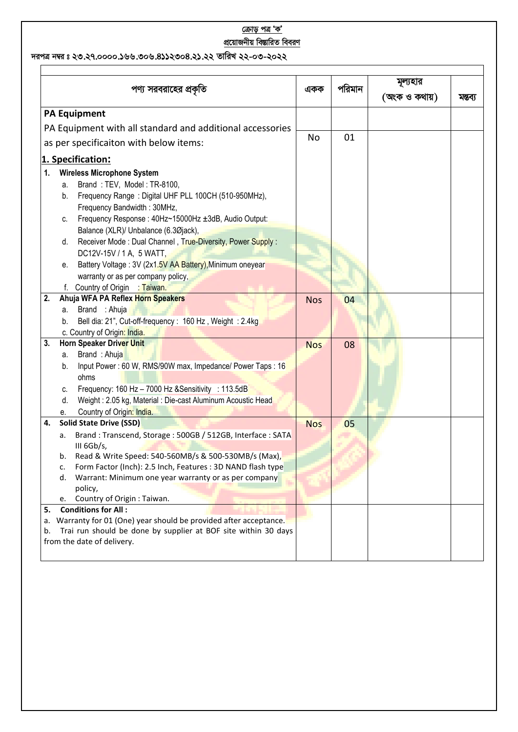## <u>ক্ৰোড় পত্ৰ 'ক'</u> <u>প্রয়োজনীয় বিম্ভারিত বিবরণ</u>

দরপত্র নম্বর ঃ ২৩.২৭.০০০০.১৬৬.৩০৬.৪১১২৩০৪.২১.২২ তারিখ ২২-০৩-২০২২

|                                        | পণ্য সরবরাহের প্রকৃতি                                              | একক        | পরিমান | মূল্যহার<br>(অংক ও কথায়) | মন্তব্য |
|----------------------------------------|--------------------------------------------------------------------|------------|--------|---------------------------|---------|
|                                        | <b>PA Equipment</b>                                                |            |        |                           |         |
|                                        | PA Equipment with all standard and additional accessories          |            |        |                           |         |
| as per specificaiton with below items: |                                                                    | No         | 01     |                           |         |
|                                        | 1. Specification:                                                  |            |        |                           |         |
| 1.                                     | <b>Wireless Microphone System</b>                                  |            |        |                           |         |
|                                        | Brand: TEV, Model: TR-8100,<br>a.                                  |            |        |                           |         |
|                                        | Frequency Range: Digital UHF PLL 100CH (510-950MHz),<br>b.         |            |        |                           |         |
|                                        | Frequency Bandwidth: 30MHz,                                        |            |        |                           |         |
|                                        | Frequency Response: 40Hz~15000Hz ±3dB, Audio Output:<br>C.         |            |        |                           |         |
|                                        | Balance (XLR)/ Unbalance (6.3Øjack),                               |            |        |                           |         |
|                                        | Receiver Mode: Dual Channel, True-Diversity, Power Supply:<br>d.   |            |        |                           |         |
|                                        | DC12V-15V / 1 A, 5 WATT,                                           |            |        |                           |         |
|                                        | Battery Voltage: 3V (2x1.5V AA Battery), Minimum oneyear<br>е.     |            |        |                           |         |
|                                        | warranty or as per company policy,                                 |            |        |                           |         |
|                                        | Country of Origin : Taiwan.                                        |            |        |                           |         |
| 2.                                     | Ahuja WFA PA Reflex Horn Speakers                                  | <b>Nos</b> | 04     |                           |         |
|                                        | Brand : Ahuja<br>а.                                                |            |        |                           |         |
|                                        | Bell dia: 21", Cut-off-frequency: 160 Hz, Weight: 2.4kg<br>b.      |            |        |                           |         |
|                                        | c. Country of Origin: India.                                       |            |        |                           |         |
| 3.                                     | Horn Speaker Driver Unit                                           | <b>Nos</b> | 08     |                           |         |
|                                        | Brand: Ahuja<br>а.                                                 |            |        |                           |         |
|                                        | Input Power: 60 W, RMS/90W max, Impedance/ Power Taps: 16<br>b.    |            |        |                           |         |
|                                        | ohms                                                               |            |        |                           |         |
|                                        | Frequency: 160 Hz - 7000 Hz &Sensitivity : 113.5dB<br>c.           |            |        |                           |         |
|                                        | Weight: 2.05 kg, Material: Die-cast Aluminum Acoustic Head<br>d.   |            |        |                           |         |
|                                        | Country of Origin: India.<br>е.                                    |            |        |                           |         |
| 4.                                     | <b>Solid State Drive (SSD)</b>                                     | <b>Nos</b> | 05     |                           |         |
|                                        | Brand: Transcend, Storage: 500GB / 512GB, Interface: SATA<br>a.    |            |        |                           |         |
|                                        | III 6Gb/s,                                                         |            |        |                           |         |
|                                        | Read & Write Speed: 540-560MB/s & 500-530MB/s (Max),<br>b.         |            |        |                           |         |
|                                        | Form Factor (Inch): 2.5 Inch, Features: 3D NAND flash type<br>c.   |            |        |                           |         |
|                                        | Warrant: Minimum one year warranty or as per company<br>d.         |            |        |                           |         |
|                                        | policy,<br>Country of Origin : Taiwan.                             |            |        |                           |         |
| 5.                                     | e.<br><b>Conditions for All:</b>                                   |            |        |                           |         |
|                                        | a. Warranty for 01 (One) year should be provided after acceptance. |            |        |                           |         |
| b.                                     | Trai run should be done by supplier at BOF site within 30 days     |            |        |                           |         |
|                                        | from the date of delivery.                                         |            |        |                           |         |
|                                        |                                                                    |            |        |                           |         |